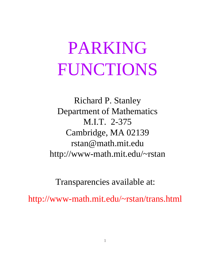# PARKING FUNCTIONS

M.I.T. 2-375 Department of Mathematics rstan@math.mit.edu Cambridge, MA 02139 Richard P. Stanley http://www-math.mit.edu/~rstan

Transparencies available at:

http://www-math.mit.edu/~rstan/trans.html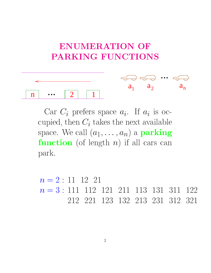# **ENUMERATION OF PARKING FUNCTIONS**



Car  $C_i$  prefers space  $a_i$ . If  $a_i$  is occupied, then  $C_i$  takes the next available space. We call  $(a_1, \ldots, a_n)$  a **parking function** (of length  $n$ ) if all cars can park.

 $n = 2 : 11 \ 12 \ 21$  $n = 3 : 111 112 121 211 113 131 311 122$ 311 212 221 123 132 213 231 312 321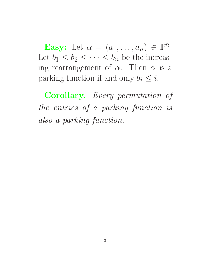**Easy:** Let  $\alpha = (a_1, \ldots, a_n) \in \mathbb{P}^n$ . Let  $b_1 \leq b_2 \leq \cdots \leq b_n$  be the increasing rearrangement of  $\alpha$ . Then  $\alpha$  is a parking function if and only  $b_i \leq i$ .

Corollary. Every permutation of the entries of <sup>a</sup> parking function is also <sup>a</sup> parking function.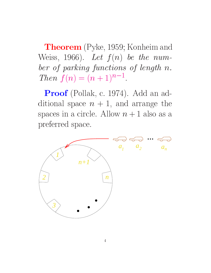Theorem (Pyke, 1959; Konheim and Weiss, 1966). Let  $f(n)$  be the number of parking functions of length n.  $I$   $nen_1(n) = (n+1)^{n-1}$ .

Proof (Pollak, c. 1974). Add an additional space  $n + 1$ , and arrange the spaces in a circle. Allow  $n + 1$  also as a preferred space.

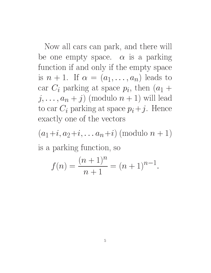Now all cars can park, and there will be one empty space.  $\alpha$  is a parking function if and only if the empty space is  $n + 1$ . If  $\alpha = (a_1, \ldots, a_n)$  leads to car  $C_i$  parking at space  $p_i$ , then  $(a_1 +$  $j, \ldots, a_n + j$  (modulo  $n + 1$ ) will lead to car  $C_i$  parking at space  $p_i + j$ . Hence exactly one of the vectors

 $(a_1+i, a_2+i, \ldots a_n+i)$  (modulo  $n+1$ ) is a parking function, so

$$
f(n) = \frac{(n+1)^n}{n+1} = (n+1)^{n-1}
$$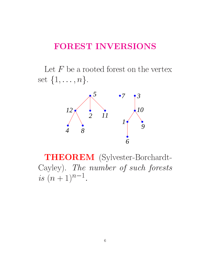## FOREST INVERSIONS

Let  $F$  be a rooted forest on the vertex set  $\{1, \ldots, n\}.$ 



THEOREM (Sylvester-Borchardt-Cayley). The number of such forests  $is$   $(t + 1)$ .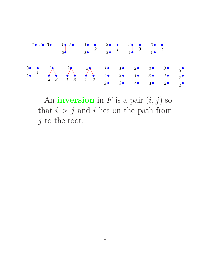

An **inversion** in F is a pair  $(i, j)$  so that  $i > j$  and i lies on the path from  $j$  to the root.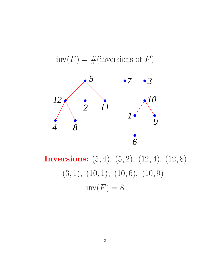

 $inv(F) = \#($ inversions of F)

Inversions:  $(5, 4), (5, 2), (12, 4), (12, 8)$  $(3, 1), (10, 1), (10, 6), (10, 9)$  $inv(F) = 8$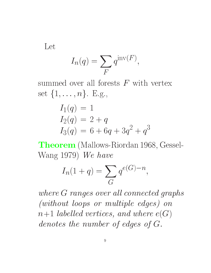Let

$$
I_n(q) = \sum_F q^{\text{inv}(F)},
$$

set  $\{1, \ldots, n\}$ . E.g.,

$$
I_1(q) = 1
$$
  
\n
$$
I_2(q) = 2 + q
$$
  
\n
$$
I_3(q) = 6 + 6q + 3q^2 + q^3
$$

Theorem (Mallows-Riordan 1968, Gessel-Wang 1979) We have

$$
I_n(1+q)=\sum_G q^{e(G)-n},
$$

where <sup>G</sup> ranges over al l connected graphs (without loops or multiple edges) on  $n+1$  labelled vertices, and where  $e(G)$ denotes the number of edges of G.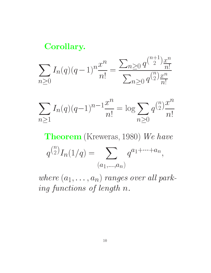## Corollary.

$$
\sum_{n\geq 0} I_n(q)(q-1)^n \frac{x^n}{n!} = \frac{\sum_{n\geq 0} q^{\binom{n+1}{2}} \frac{x^n}{n!}}{\sum_{n\geq 0} q^{\binom{n}{2}} \frac{x^n}{n!}}
$$

$$
\sum_{n\geq 1} I_n(q)(q-1)^{n-1}\frac{x^n}{n!} = \log \sum_{n\geq 0} q^{\binom{n}{2}} \frac{x^n}{n!}
$$

Theorem (Kreweras, 1980) We have

$$
q^{\binom{n}{2}}I_n(1/q) = \sum_{(a_1,\ldots,a_n)} q^{a_1+\cdots+a_n},
$$

where  $\{x_1, \ldots, x_n\}$  ranges over an  $\gamma$  and ing functions of length n.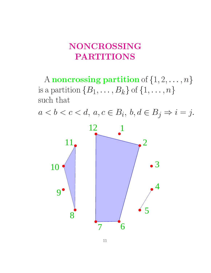# NONCROSSING PARTITIONS

A noncrossing partition of  $\{1, 2, \ldots, n\}$ is a partition  $\{B_1, \ldots, B_k\}$  of  $\{1, \ldots, n\}$ such that

 $a < b < c < d$ ,  $a, c \in B_i$ ,  $b, d \in B_j \Rightarrow i = j$ .

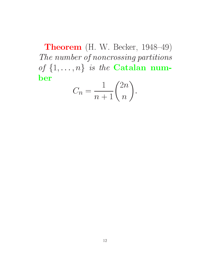Theorem (H. W. Becker, 1948-49) The number of noncrossing partitions of  $\{1, \ldots, n\}$  is the **Catalan num**ber  $\sim$   $\sim$  $\mathbf{r}$ 

$$
C_n = \frac{1}{n+1} \binom{2n}{n}.
$$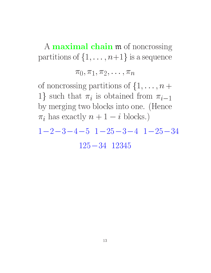A **maximal chain m** of noncrossing partitions of  $\{1, \ldots, n+1\}$  is a sequence

 $\pi_0, \pi_1, \pi_2, \ldots, \pi_n$ 

of noncrossing partitions of  $\{1, \ldots, n+\}$ 1} such that  $\pi_i$  is obtained from  $\pi_{i-1}$ by merging two blocks into one. (Hence  $\pi_i$  has exactly  $n + 1 - i$  blocks.)

 $1-2-3-4-5$   $1-25-3-4$   $1-25-34$  $125 - 34$   $12345$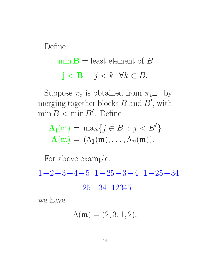Define:

 $\min \mathbf{B} =$  least element of B  $j < B : j < k \ \forall k \in B.$ 

Suppose  $\pi_i$  is obtained from  $\pi_{i-1}$  by merging together blocks  $D$  and  $D$  , with min  $D \leqslant$  min  $D$  . Denne

$$
\Lambda_{\mathbf{i}}(\mathfrak{m}) = \max\{j \in B : j < B'\}
$$
\n
$$
\Lambda(\mathfrak{m}) = (\Lambda_1(\mathfrak{m}), \dots, \Lambda_n(\mathfrak{m})).
$$

For above example:

 $1-2-3-4-5$   $1-25-3-4$   $1-25-34$ 

 $125 - 34$   $12345$ 

we have

$$
\Lambda(\mathfrak{m})=(2,3,1,2).
$$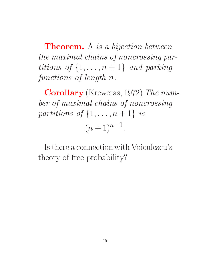**Theorem.**  $\Lambda$  is a bijection between the maximal chains of noncrossing partitions of the first constructions of the first construction of the construction of the construction of the co functions of length n.

Corollary (Kreweras, 1972) The number of maximal chains of noncrossing providence in particular and the function of the following property of the following property of the following  $(n+1)$ .

Is there a connection with Voiculescu's theory of free probability?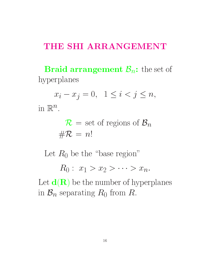#### THE SHI ARRANGEMENT

**Braid arrangement**  $\mathcal{B}_n$ **:** the set of hyperplanes

 $x_i - x_j = 0, \ \ 1 \leq i < j \leq n,$ 

 $\mathbb{H}^1 \mathbb{K}^n$ .

 $R = \frac{1}{2}$  set of  $\frac{1}{2}$  regions of  $\frac{1}{2}$  $\#\mathcal{R} = n!$ 

Let  $R_0$  be the "base region"

 $R_0: x_1 > x_2 > \cdots > x_n.$ 

Let  $\mathbf{d}(\mathbf{R})$  be the number of hyperplanes in  $\mathcal{B}_n$  separating  $R_0$  from R.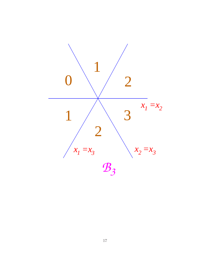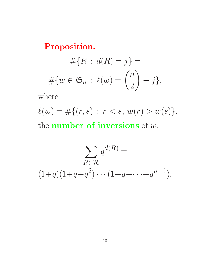Proposition.

$$
#{R : d(R) = j} =
$$

$$
#{w \in \mathfrak{S}_n : \ell(w) = \binom{n}{2} - j},
$$

where

 $\ell(w) = #\{(r, s) : r < s, w(r) > w(s)\},\$ the **number of inversions** of  $w$ .

$$
\sum_{R \in \mathcal{R}} q^{d(R)} =
$$
  

$$
(1+q)(1+q+q^2)\cdots(1+q+\cdots+q^{n-1}).
$$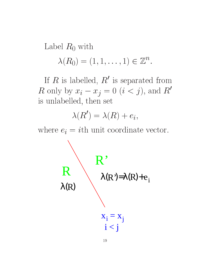Label  $R_0$  with

$$
\lambda(R_0)=(1,1,\ldots,1)\in\mathbb{Z}^n.
$$

 $\,$ n  $\,$  Is labelled,  $\,$   $\,$  Is separated from R only by  $x_i - x_j = 0$   $(i < j)$ , and R' is unlabelled, then set

$$
\lambda(R') = \lambda(R) + e_i,
$$

where  $e_i = i$ th unit coordinate vector.

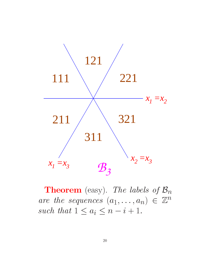

**Theorem** (easy). The labels of  $\mathcal{B}_n$ are the sequences  $(a_1, \ldots, a_n) \in \mathbb{Z}^n$ such that  $1 \leq a_i \leq n-i+1$ .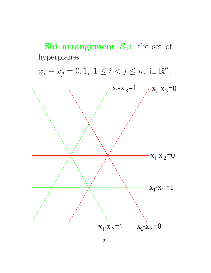**Shi arrangement**  $S_n$ : the set of hyperplanes  $x_i - x_j = 0, 1, 1 \le i < j \le n$ , in  $\mathbb{R}^n$ .  $x_2-x_3=1$   $x_2-x_3=0$  $x_1-x_2=0$  $x_1 - x_2 = 1$  $x_1-x_3=1$   $x_1-x_3=0$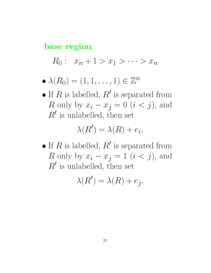#### base region

 $R_0: x_n + 1 > x_1 > \cdots > x_n$ 

- $\bullet$   $\land$   $(\Lambda_{()}) = (1, 1, \ldots, 1) \in \mathbb{Z}^n$
- $\bullet$  If  $R$  is labelled,  $R_0$  is separated from R only by  $x_i - x_j = 0$   $(i < j)$ , and  $\,$   $\,$   $\,$  is unlabelled, then set

$$
\lambda(R') = \lambda(R) + e_i.
$$

 $\bullet$  If  $R$  is labelled,  $R_0$  is separated from R only by  $x_i - x_j = 1$   $(i < j)$ , and  $\kappa$  is unlabelled, then set

$$
\lambda(R') = \lambda(R) + e_j.
$$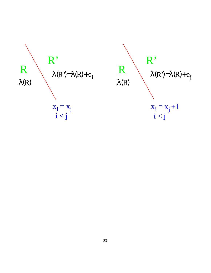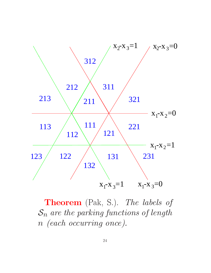

Theorem (Pak, S.). The labels of  $S_n$  are the parking functions of length <sup>n</sup> (each occurring once).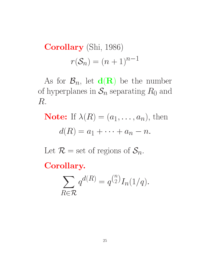Corollary (Shi, 1986)  $r(S_n) = (n+1)^{n-1}$ 

As for  $\mathcal{B}_n$ , let  $d(R)$  be the number of hyperplanes in  $S_n$  separating  $R_0$  and R.

**Note:** If  $\lambda(R) = (a_1, \ldots, a_n)$ , then  $d(R) = a_1 + \cdots + a_n - n.$ 

Let  $\mathcal{R} =$  set of regions of  $\mathcal{S}_n$ .

Corollary.

$$
\sum_{R \in \mathcal{R}} q^{d(R)} = q^{\binom{n}{2}} I_n(1/q).
$$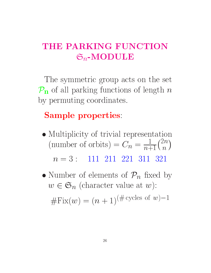# THE PARKING FUNCTION  $\mathfrak{S}_n\text{-}\mathrm{MODULE}$

The symmetric group acts on the set  $P_n$  of all parking functions of length n by permuting coordinates.

# Sample properties:

- Multiplicity of trivial representation  $\sqrt{10}$   $\sqrt{10}$   $\sqrt{20}$   $\sqrt{20}$   $\sqrt{20}$   $\sqrt{20}$   $\sqrt{20}$  $\cdot$   $\cdot$   $\cdot$   $\cdot$   $\cdot$ \_\_\_\_ and the contract of the contract of  $n = 3$ : 111 211 221 311 321
- $\sim$  10  $\sim$  10  $\sim$  10  $\sim$  10  $\sim$  10  $\sim$  10  $\sim$  10  $\sim$  10  $\sim$  10  $\sim$  10  $\sim$  10  $\sim$  10  $\sim$  10  $\sim$  10  $\sim$  10  $\sim$  10  $\sim$  10  $\sim$  10  $\sim$  10  $\sim$  10  $\sim$  10  $\sim$  10  $\sim$  10  $\sim$  10  $\sim$  10  $\sim$  10  $\sim$  10  $\sim$   $w \in \mathfrak{S}_n$  (character value at w):  $\#Fix(w) = (n + 1)^{(\# \text{ cycles of } w) - 1}$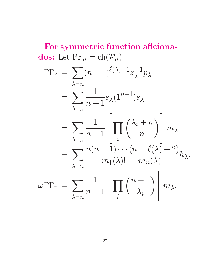For symmetric function aficiona**dos:** Let  $\Pr_n = ch(\mathcal{P}_n)$ .

$$
PF_n = \sum_{\lambda \vdash n} (n+1)^{\ell(\lambda)-1} z_{\lambda}^{-1} p_{\lambda}
$$
  
= 
$$
\sum_{\lambda \vdash n} \frac{1}{n+1} s_{\lambda} (1^{n+1}) s_{\lambda}
$$
  
= 
$$
\sum_{\lambda \vdash n} \frac{1}{n+1} \left[ \prod_i { \lambda_i + n \choose n } \right] m_{\lambda}
$$
  
= 
$$
\sum_{\lambda \vdash n} \frac{n(n-1) \cdots (n-\ell(\lambda)+2)}{m_1(\lambda)!\cdots m_n(\lambda)!} h_{\lambda}.
$$
  

$$
\omega PF_n = \sum_{\lambda \vdash n} \frac{1}{n+1} \left[ \prod_i {n+1 \choose \lambda_i} \right] m_{\lambda}.
$$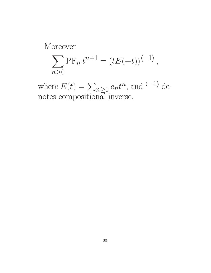Moreover

$$
\sum_{n\geq 0} \text{PF}_n t^{n+1} = (tE(-t))^{\langle -1 \rangle},
$$

where  $E(t) = \sum_{n \geq 0} e_n t^n$ , and  $\langle -1 \rangle$  denotes compositional inverse.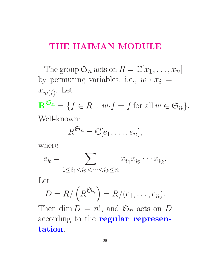### THE HAIMAN MODULE

The group  $\mathfrak{S}_n$  acts on  $R = \mathbb{C}[x_1,\ldots,x_n]$ by permuting variables, i.e.,  $w \cdot x_i =$  $w(i)$   $\mathbf{R}^{\mathfrak{S}_n} = \{f \in R : w \cdot f = f \text{ for all } w \in \mathfrak{S}_n\}.$ 

$$
R^{\mathfrak{S}_n} = \mathbb{C}[e_1,\ldots,e_n],
$$

where

$$
e_k = \sum_{1 \le i_1 < i_2 < \dots < i_k \le n} x_{i_1} x_{i_2} \dots x_{i_k}.
$$

$$
D = R/\left(R_+^{\mathfrak{S}_n}\right) = R/(e_1,\ldots,e_n).
$$

Then dim  $D = n!$ , and  $\mathfrak{S}_n$  acts on D according to the **regular represen**tation.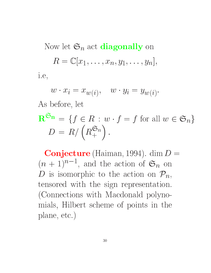Now let  $\mathfrak{S}_n$  act **diagonally** on  $R = \mathbb{C}[x_1,\ldots,x_n,y_1,\ldots,y_n],$ i.e,

$$
w \cdot x_i = x_{w(i)}, \quad w \cdot y_i = y_{w(i)}.
$$

As before, let

$$
\mathbf{R}^{\mathfrak{S}_n} = \{ f \in R : w \cdot f = f \text{ for all } w \in \mathfrak{S}_n \}
$$
  

$$
D = R / \left( R_+^{\mathfrak{S}_n} \right).
$$

Conjecture (Haiman, 1994). dim  $D =$  $(n+1)^{n-1}$ , and the action of  $\mathfrak{O}_n$  on D is isomorphic to the action on  $\mathcal{P}_n$ , tensored with the sign representation. (Connections with Macdonald polynomials, Hilbert scheme of points in the plane, etc.)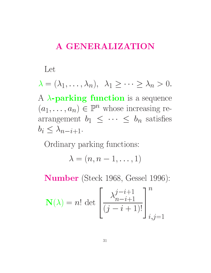# A GENERALIZATION

#### Let

 $\lambda = (\lambda_1, \ldots, \lambda_n), \lambda_1 \geq \cdots \geq \lambda_n > 0.$ 

A  $\lambda$ -parking function is a sequence  $(a_1, \ldots, a_n) \in \mathbb{P}^n$  whose increasing rearrangement  $b_1 \leq \cdots \leq b_n$  satisfies  $b_i \leq \lambda_{n-i+1}$ .

Ordinary parking functions:

$$
\lambda=(n,n-1,\ldots,1)
$$

Number (Steck 1968, Gessel 1996):

$$
\mathbf{N}(\lambda) = n! \det \left[ \frac{\lambda_{n-i+1}^{j-i+1}}{(j-i+1)!} \right]_{i,j=1}^n
$$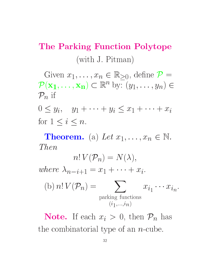# The Parking Function Polytope (with J. Pitman)

Given  $x_1, \ldots, x_n \in \mathbb{R}_{\geq 0}$ , define  $\mathcal{P} =$  $\mathcal{P}(\mathbf{x_1},\ldots,\mathbf{x_n})\subset\mathbb{R}^n$  by:  $(y_1,\ldots,y_n)\in$  $P_n$  if

 $0 \le y_i$ ,  $y_1 + \cdots + y_i \le x_1 + \cdots + x_i$ for  $1 \leq i \leq n$ .

**Theorem.** (a) Let  $x_1, \ldots, x_n \in \mathbb{N}$ . *Then* 

$$
n! V(\mathcal{P}_n) = N(\lambda),
$$
  
where  $\lambda_{n-i+1} = x_1 + \dots + x_i$ .  
(b)  $n! V(\mathcal{P}_n) = \sum_{\text{parking functions}} x_{i_1} \dots x_{i_n}$ .

**Note.** If each  $x_i > 0$ , then  $\mathcal{P}_n$  has the combinatorial type of an  $n$ -cube.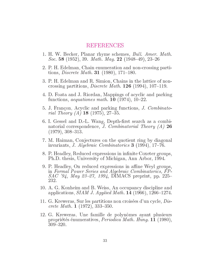#### REFERENCES

- 1. H. W. Becker, Planar rhyme schemes, *Bull. Amer. Math.* Soc. 58 (1952), 39. Math. Mag. 22 (1948–49), 23–26
- 2. P. H. Edelman, Chain enumeration and non-crossing partitions, *Discrete Math.* **31** (1980), 171–180.
- 3. P. H. Edelman and R. Simion, Chains in the lattice of noncrossing partitions, *Discrete Math.* **126** (1994), 107–119.
- 4. D. Foata and J. Riordan, Mappings of acyclic and parking functions, *aequationes math.* **10** (1974), 10-22.
- 5. J. Francon, Acyclic and parking functions, J. Combinatorial Theory  $(A)$  18 (1975), 27-35.
- 6. I. Gessel and D.-L. Wang, Depth-first search as a combinatorial correspondence, *J. Combinatorial Theory (A)* 26  $(1979), 308 - 313.$
- 7. M. Haiman, Conjectures on the quotient ring by diagonal invariants, *J. Algebraic Combinatorics* **3** (1994), 17-76.
- 8. P. Headley, Reduced expressions in infinite Coxeter groups, Ph.D. thesis, University of Michigan, Ann Arbor, 1994.
- 9. P. Headley, On reduced expressions in affine Weyl groups, in Formal Power Series and Algebraic Combinatorics, FP- $SAC$  '94, May 23-27, 1994, DIMACS preprint, pp. 225-232.
- 10. A. G. Konheim and B. Weiss, An occupancy discipline and applications, *SIAM J. Applied Math.* **14** (1966), 1266–1274.
- 11. G. Kreweras, Sur les partitions non croisées d'un cycle, Discrete Math.  $1$  (1972), 333-350.
- 12. G. Kreweras, Une famille de polyn^omes ayant plusieurs propriétés énumeratives, *Periodica Math. Hung.* 11 (1980), 309-320.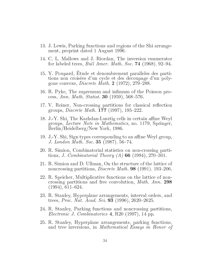- 13. J. Lewis, Parking functions and regions of the Shi arrangement, preprint dated 1 August 1996.
- 14. C. L. Mallows and J. Riordan, The inversion enumerator for labeled trees, *Bull Amer. Math. Soc.* **74** (1968), 92–94.
- 15. Y. Poupard, Etude et denombrement paralleles des partitions non croisées d'un cycle et des decoupage d'un polygone convexe, *Discrete Math.*  $2$  (1972), 279–288.
- 16. R. Pyke, The supremum and infimum of the Poisson process, Ann. Math. Statist. **30** (1959), 568–576.
- 17. V. Reiner, Non-crossing partitions for classical reflection groups, *Discrete Math.* **177** (1997), 195–222.
- 18. J.-Y. Shi, The Kazhdan-Lusztig cells in certain affine Weyl groups, Lecture Note in Mathematics, no. 1179, Springer, Berlin/Heidelberg/New York, 1986.
- 19. J.-Y. Shi, Sign types corresponding to an affine Weyl group, J. London Math. Soc.  $35$  (1987), 56-74.
- 20. R. Simion, Combinatorial statistics on non-crossing partitions, *J. Combinatorial Theory (A)* 66 (1994), 270–301.
- 21. R. Simion and D. Ullman, On the structure of the lattice of noncrossing partitions, *Discrete Math.* **98** (1991), 193-206.
- 22. R. Speicher, Multiplicative functions on the lattice of noncrossing partitions and free convolution, Math. Ann. <sup>298</sup>  $(1994), 611-624.$
- 23. R. Stanley, Hyperplane arrangements, interval orders, and trees, *Proc. Nat. Acad. Sci.* **93** (1996), 2620–2625.
- 24. R. Stanley, Parking functions and noncrossing partitions, Electronic J. Combinatorics 4, R20 (1997), 14 pp.
- 25. R. Stanley, Hyperplane arrangements, parking functions, and tree inversions, in Mathematical Essays in Honor of